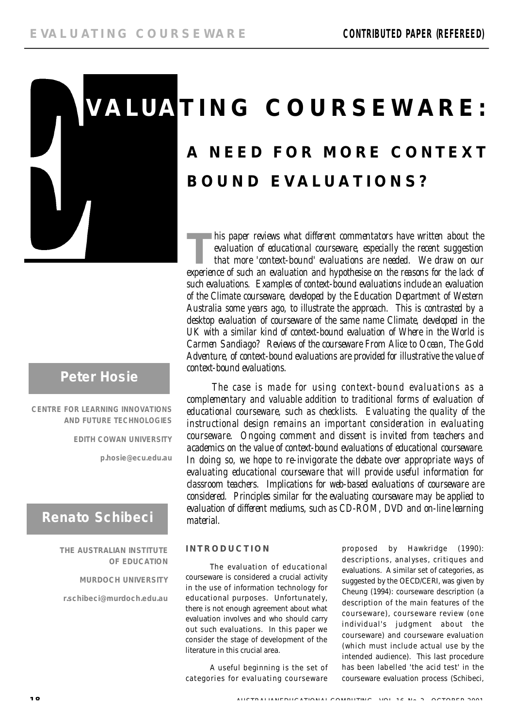

# **Peter Hosie**

**CENTRE FOR LEARNING INNOVATIONS AND FUTURE TECHNOLOGIES**

**EDITH COWAN UNIVERSITY**

**p . h o s i e @ e c u . e d u . a u**

# **Renato Schibeci**

#### **THE AUSTRALIAN INSTITUTE OF EDUCATION**

**MURDOCH UNIVERSITY**

**r . s c h i b e c i @ m u r d o c h . e d u . a u**

# **V A LUA T I N G C O U R S E WA R E : A N E E D F O R M O R E C O N T E X T B O U N D E V A L U A T I O N S ?**

**THE FRISH AND THE AND THE PRONUNTIFY ISLAMS AND THE PROPERTIES AND AN EVALUATION OF educational courseware, especially the recent suggestion that more 'context-bound' evaluations are needed. We draw on our experience of s** his paper reviews what different commentators have written about the *evaluation of educational courseware, especially the recent suggestion that more 'context-bound' evaluations are needed. We draw on our such evaluations. Examples of context-bound evaluations include an evaluation of the Climate courseware, developed by the Education Department of Western Australia some years ago, to illustrate the approach. This is contrasted by a desktop evaluation of courseware of the same name Climate, developed in the UK with a similar kind of context-bound evaluation of Where in the World is* Carmen Sandiago? Reviews of the courseware From Alice to Ocean, The Gold Adventure, of context-bound evaluations are provided for illustrative the value of *context-bound evaluations.*

*The case is made for using context-bound evaluations as a* complementary and valuable addition to traditional forms of evaluation of *educational courseware, such as checklists. Evaluating the quality of the* instructional design remains an important consideration in evaluating *courseware.* Ongoing comment and dissent is invited from teachers and *academics on the value of context-bound evaluations of educational courseware . In doing so, we hope to re-invigorate the debate over appropriate ways of evaluating educational courseware that will provide useful information for* classroom teachers. Implications for web-based evaluations of courseware are considered. Principles similar for the evaluating courseware may be applied to *evaluation of different mediums, such as CD-ROM, DVD and on-line learning m a t e r i a l .*

#### **I N T R O D U C T I O N**

The evaluation of educational courseware is considered a crucial activity in the use of information technology for educational purposes. Unfortunately, there is not enough agreement about what evaluation involves and who should carry out such evaluations. In this paper we consider the stage of development of the literature in this crucial area.

A useful beginning is the set of categories for evaluating courseware

proposed by Hawkridge (1990): descriptions, analyses, critiques and evaluations. A similar set of categories, as suggested by the OECD/CERI, was given by Cheung (1994): courseware description (a description of the main features of the courseware), courseware review (one individual's judgment about the courseware) and courseware evaluation (which must include actual use by the intended audience). This last procedure has been labelled 'the acid test' in the courseware evaluation process (Schibeci,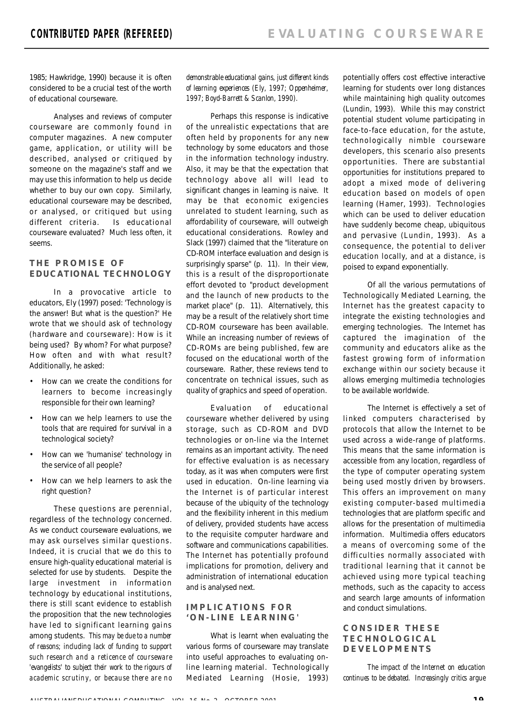1985; Hawkridge, 1990) because it is often considered to be a crucial test of the worth of educational courseware.

Analyses and reviews of computer courseware are commonly found in computer magazines. A new computer game, application, or utility will be described, analysed or critiqued by someone on the magazine's staff and we may use this information to help us decide whether to buy our own copy. Similarly, educational courseware may be described, or analysed, or critiqued but using different criteria. Is educational courseware evaluated? Much less often, it seems.

#### **T H E P R O M I S E O F EDUCATIONAL TECHNOLOGY**

In a provocative article to educators, Ely (1997) posed: 'Technology is the answer! But what is the question?' He wrote that we should ask of technology (hardware and courseware): How is it being used? By whom? For what purpose? How often and with what result? Additionally, he asked:

- How can we create the conditions for learners to become increasingly responsible for their own learning?
- How can we help learners to use the tools that are required for survival in a technological society?
- How can we 'humanise' technology in the service of all people?
- How can we help learners to ask the right question?

These questions are perennial, regardless of the technology concerned. As we conduct courseware evaluations, we may ask ourselves similar questions. Indeed, it is crucial that we do this to ensure high-quality educational material is selected for use by students. Despite the large investment in information technology by educational institutions, there is still scant evidence to establish the proposition that the new technologies have led to significant learning gains among students. *This may be due to a number of reasons; including lack of funding to support such research and a reticence of courseware 'evangelists' to subject their work to the rigours of academic scrutiny, or because there are no* *demonstrable educational gains, just different kinds of learning experiences (Ely, 1997; Oppenheimer, 1997; Boyd-Barrett & Scanlon, 1990).*

Perhaps this response is indicative of the unrealistic expectations that are often held by proponents for any new technology by some educators and those in the information technology industry. Also, it may be that the expectation that technology above all will lead to significant changes in learning is naive. It may be that economic exigencies unrelated to student learning, such as affordability of courseware, will outweigh educational considerations. Rowley and Slack (1997) claimed that the "literature on CD-ROM interface evaluation and design is surprisingly sparse" (p. 11). In their view, this is a result of the disproportionate effort devoted to "product development and the launch of new products to the market place" (p. 11). Alternatively, this may be a result of the relatively short time CD-ROM courseware has been available. While an increasing number of reviews of CD-ROMs are being published, few are focused on the educational worth of the courseware. Rather, these reviews tend to concentrate on technical issues, such as quality of graphics and speed of operation.

Evaluation of educational courseware whether delivered by using storage, such as CD-ROM and DVD technologies or on-line via the Internet remains as an important activity. The need for effective evaluation is as necessary today, as it was when computers were first used in education. On-line learning via the Internet is of particular interest because of the ubiquity of the technology and the flexibility inherent in this medium of delivery, provided students have access to the requisite computer hardware and software and communications capabilities. The Internet has potentially profound implications for promotion, delivery and administration of international education and is analysed next.

#### **IMPLICATIONS FOR ' O N - L I N E L E A R N I N G '**

What is learnt when evaluating the various forms of courseware may translate into useful approaches to evaluating online learning material. Technologically Mediated Learning (Hosie, 1993) potentially offers cost effective interactive learning for students over long distances while maintaining high quality outcomes (Lundin, 1993). While this may constrict potential student volume participating in face-to-face education, for the astute, technologically nimble courseware developers, this scenario also presents opportunities. There are substantial opportunities for institutions prepared to adopt a mixed mode of delivering education based on models of open learning (Hamer, 1993). Technologies which can be used to deliver education have suddenly become cheap, ubiquitous and pervasive (Lundin, 1993). As a consequence, the potential to deliver education locally, and at a distance, is poised to expand exponentially.

Of all the various permutations of Technologically Mediated Learning, the Internet has the greatest capacity to integrate the existing technologies and emerging technologies. The Internet has captured the imagination of the community and educators alike as the fastest growing form of information exchange within our society because it allows emerging multimedia technologies to be available worldwide.

The Internet is effectively a set of linked computers characterised by protocols that allow the Internet to be used across a wide-range of platforms. This means that the same information is accessible from any location, regardless of the type of computer operating system being used mostly driven by browsers. This offers an improvement on many existing computer-based multimedia technologies that are platform specific and allows for the presentation of multimedia information. Multimedia offers educators a means of overcoming some of the difficulties normally associated with traditional learning that it cannot be achieved using more typical teaching methods, such as the capacity to access and search large amounts of information and conduct simulations.

#### **C O N S I D E R T H E S E T E C H N O L O G I C A L D E V E L O P M E N T S**

*The impact of the Internet on education continues to be debated. Increasingly critics argue*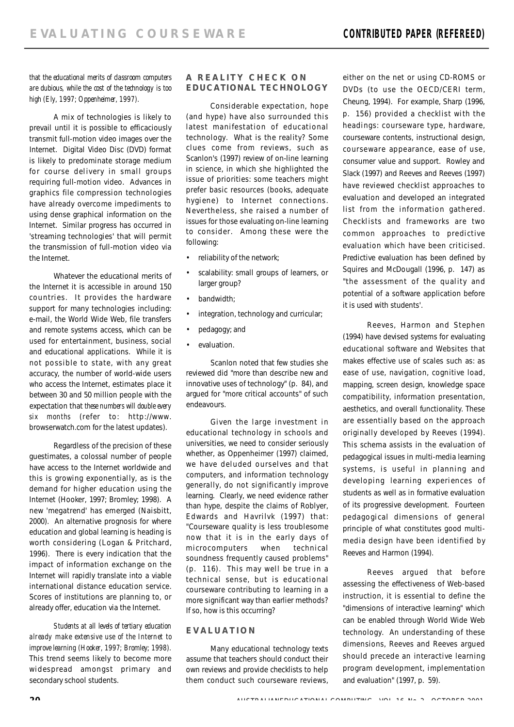*that the educational merits of classroom computers are dubious, while the cost of the technology is too high (Ely, 1997; Oppenheimer, 1997).*

A mix of technologies is likely to prevail until it is possible to efficaciously transmit full-motion video images over the Internet. Digital Video Disc (DVD) format is likely to predominate storage medium for course delivery in small groups requiring full-motion video. Advances in graphics file compression technologies have already overcome impediments to using dense graphical information on the Internet. Similar progress has occurred in 'streaming technologies' that will permit the transmission of full-motion video via the Internet.

Whatever the educational merits of the Internet it is accessible in around 150 countries. It provides the hardware support for many technologies including: e-mail, the World Wide Web, file transfers and remote systems access, which can be used for entertainment, business, social and educational applications. While it is not possible to state, with any great accuracy, the number of world-wide users who access the Internet, estimates place it between 30 and 50 million people with the expectation that *these numbers will double every six months* (refer to: http://www. browserwatch.com for the latest updates).

Regardless of the precision of these guestimates, a colossal number of people have access to the Internet worldwide and this is growing exponentially, as is the demand for higher education using the Internet (Hooker, 1997; Bromley; 1998). A new 'megatrend' has emerged (Naisbitt, 2000). An alternative prognosis for where education and global learning is heading is worth considering (Logan & Pritchard, 1996). There is every indication that the impact of information exchange on the Internet will rapidly translate into a viable international distance education service. Scores of institutions are planning to, or already offer, education via the Internet.

*Students at all levels of tertiary education already make extensive use of the Internet to improve learning (Hooker, 1997; Bromley; 1998).* This trend seems likely to become more widespread amongst primary and secondary school students.

#### **A REALITY CHECK ON EDUCATIONAL TECHNOLOGY**

Considerable expectation, hope (and hype) have also surrounded this latest manifestation of educational technology. What is the reality? Some clues come from reviews, such as Scanlon's (1997) review of on-line learning in science, in which she highlighted the issue of priorities: some teachers might prefer basic resources (books, adequate hygiene) to Internet connections. Nevertheless, she raised a number of issues for those evaluating on-line learning to consider. Among these were the following:

- reliability of the network;
- scalability: small groups of learners, or larger group?
- bandwidth:
- integration, technology and curricular;
- pedagogy; and
- evaluation.

Scanlon noted that few studies she reviewed did "more than describe new and innovative uses of technology" (p. 84), and argued for "more critical accounts" of such endeavours.

Given the large investment in educational technology in schools and universities, we need to consider seriously whether, as Oppenheimer (1997) claimed, we have deluded ourselves and that computers, and information technology generally, do not significantly improve learning. Clearly, we need evidence rather than hype, despite the claims of Roblyer, Edwards and Havrilvk (1997) that: "Courseware quality is less troublesome now that it is in the early days of microcomputers when technical soundness frequently caused problems" (p. 116). This may well be true in a technical sense, but is educational courseware contributing to learning in a more significant way than earlier methods? If so, how is this occurring?

## **E V A L U A T I O N**

Many educational technology texts assume that teachers should conduct their own reviews and provide checklists to help them conduct such courseware reviews,

either on the net or using CD-ROMS or DVDs (to use the OECD/CERI term, Cheung, 1994). For example, Sharp (1996, p. 156) provided a checklist with the headings: courseware type, hardware, courseware contents, instructional design, courseware appearance, ease of use, consumer value and support. Rowley and Slack (1997) and Reeves and Reeves (1997) have reviewed checklist approaches to evaluation and developed an integrated list from the information gathered. Checklists and frameworks are two common approaches to predictive evaluation which have been criticised. Predictive evaluation has been defined by Squires and McDougall (1996, p. 147) as "the assessment of the quality and potential of a software application before it is used with students'.

Reeves, Harmon and Stephen (1994) have devised systems for evaluating educational software and Websites that makes effective use of scales such as: as ease of use, navigation, cognitive load, mapping, screen design, knowledge space compatibility, information presentation, aesthetics, and overall functionality. These are essentially based on the approach originally developed by Reeves (1994). This schema assists in the evaluation of pedagogical issues in multi-media learning systems, is useful in planning and developing learning experiences of students as well as in formative evaluation of its progressive development. Fourteen pedagogical dimensions of general principle of what constitutes good multimedia design have been identified by Reeves and Harmon (1994).

Reeves argued that before assessing the effectiveness of Web-based instruction, it is essential to define the "dimensions of interactive learning" which can be enabled through World Wide Web technology. An understanding of these dimensions, Reeves and Reeves argued should precede an interactive learning program development, implementation and evaluation" (1997, p. 59).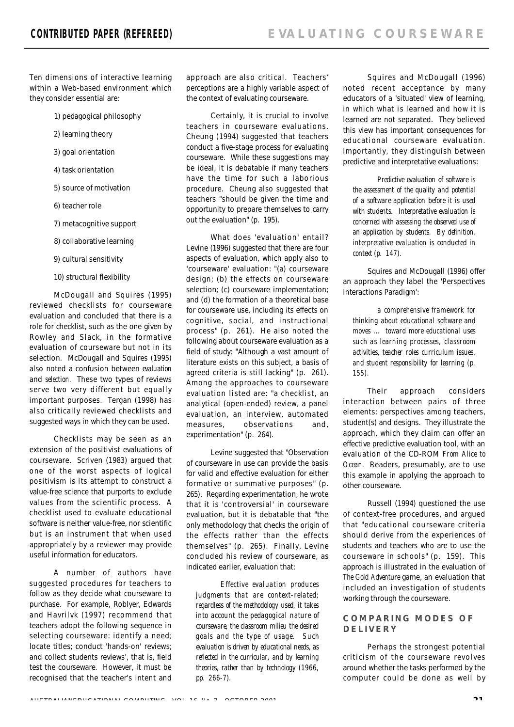Ten dimensions of interactive learning within a Web-based environment which they consider essential are:

- 1) pedagogical philosophy
- 2) learning theory
- 3) goal orientation
- 4) task orientation
- 5) source of motivation
- 6) teacher role
- 7) metacognitive support
- 8) collaborative learning
- 9) cultural sensitivity
- 10) structural flexibility

McDougall and Squires (1995) reviewed checklists for courseware evaluation and concluded that there is a role for checklist, such as the one given by Rowley and Slack, in the formative evaluation of courseware but not in its selection. McDougall and Squires (1995) also noted a confusion between evaluation and selection. These two types of reviews serve two very different but equally important purposes. Tergan (1998) has also critically reviewed checklists and suggested ways in which they can be used.

Checklists may be seen as an extension of the positivist evaluations of courseware. Scriven (1983) argued that one of the worst aspects of logical positivism is its attempt to construct a value-free science that purports to exclude values from the scientific process. A checklist used to evaluate educational software is neither value-free, nor scientific but is an instrument that when used appropriately by a reviewer may provide useful information for educators.

A number of authors have suggested procedures for teachers to follow as they decide what courseware to purchase. For example, Roblyer, Edwards and Havrilvk (1997) recommend that teachers adopt the following sequence in selecting courseware: identify a need; locate titles; conduct 'hands-on' reviews; and collect students reviews', that is, field test the courseware. However, it must be recognised that the teacher's intent and approach are also critical. Teachers' perceptions are a highly variable aspect of the context of evaluating courseware.

Certainly, it is crucial to involve teachers in courseware evaluations. Cheung (1994) suggested that teachers conduct a five-stage process for evaluating courseware. While these suggestions may be ideal, it is debatable if many teachers have the time for such a laborious procedure. Cheung also suggested that teachers "should be given the time and opportunity to prepare themselves to carry out the evaluation" (p. 195).

What does 'evaluation' entail? Levine (1996) suggested that there are four aspects of evaluation, which apply also to 'courseware' evaluation: "(a) courseware design; (b) the effects on courseware selection; (c) courseware implementation; and (d) the formation of a theoretical base for courseware use, including its effects on cognitive, social, and instructional process" (p. 261). He also noted the following about courseware evaluation as a field of study: "Although a vast amount of literature exists on this subject, a basis of agreed criteria is still lacking" (p. 261). Among the approaches to courseware evaluation listed are: "a checklist, an analytical (open-ended) review, a panel evaluation, an interview, automated measures, observations and, experimentation" (p. 264).

Levine suggested that "Observation of courseware in use can provide the basis for valid and effective evaluation for either formative or summative purposes" (p. 265). Regarding experimentation, he wrote that it is 'controversial' in courseware evaluation, but it is debatable that "the only methodology that checks the origin of the effects rather than the effects themselves" (p. 265). Finally, Levine concluded his review of courseware, as indicated earlier, evaluation that:

*Effective evaluation produces judgments that are context-related; regardless of the methodology used, it takes into account the pedagogical nature of courseware, the classroom milieu the desired goals and the type of usage. Such evaluation is driven by educational needs, as reflected in the curricular, and by learning theories, rather than by technology (1966, pp. 266-7).* 

Squires and McDougall (1996) noted recent acceptance by many educators of a 'situated' view of learning, in which what is learned and how it is learned are not separated. They believed this view has important consequences for educational courseware evaluation. Importantly, they distinguish between predictive and interpretative evaluations:

*Predictive evaluation of software is the assessment of the quality and potential of a software application before it is used with students. Interpretative evaluation is concerned with assessing the observed use of an application by students. By definition, interpretative evaluation is conducted in context (p. 147).* 

Squires and McDougall (1996) offer an approach they label the 'Perspectives Interactions Paradigm':

*a comprehensive framework for thinking about educational software and moves ... toward more educational uses such as learning processes, classroom activities, teacher roles curriculum issues, and student responsibility for learning (p. 155).* 

Their approach considers interaction between pairs of three elements: perspectives among teachers, student(s) and designs. They illustrate the approach, which they claim can offer an effective predictive evaluation tool, with an evaluation of the CD-ROM *From Alice to* Ocean. Readers, presumably, are to use this example in applying the approach to other courseware.

Russell (1994) questioned the use of context-free procedures, and argued that "educational courseware criteria should derive from the experiences of students and teachers who are to use the courseware in schools" (p. 159). This approach is illustrated in the evaluation of *The Gold Adventure* game, an evaluation that included an investigation of students working through the courseware.

#### **C O M P A R I N G M O D E S O F D E L I V E R Y**

Perhaps the strongest potential criticism of the courseware revolves around whether the tasks performed by the computer could be done as well by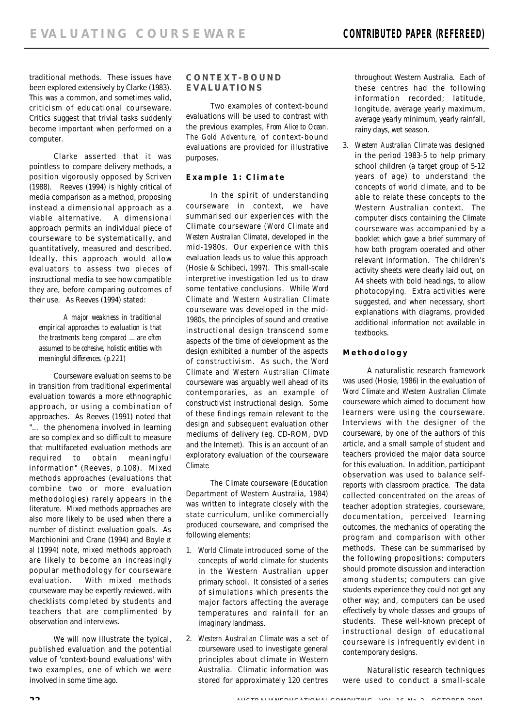traditional methods. These issues have been explored extensively by Clarke (1983). This was a common, and sometimes valid, criticism of educational courseware. Critics suggest that trivial tasks suddenly become important when performed on a computer.

Clarke asserted that it was pointless to compare delivery methods, a position vigorously opposed by Scriven (1988). Reeves (1994) is highly critical of media comparison as a method, proposing instead a dimensional approach as a viable alternative. A dimensional approach permits an individual piece of courseware to be systematically, and quantitatively, measured and described. Ideally, this approach would allow evaluators to assess two pieces of instructional media to see how compatible they are, before comparing outcomes of their use. As Reeves (1994) stated:

*A major weakness in traditional empirical approaches to evaluation is that the treatments being compared …are often assumed to be cohesive, holistic entities with meaningful differences. (p.221)*

Courseware evaluation seems to be in transition from traditional experimental evaluation towards a more ethnographic approach, or using a combination of approaches. As Reeves (1991) noted that "... the phenomena involved in learning are so complex and so difficult to measure that multifaceted evaluation methods are required to obtain meaningful information" (Reeves, p.108). Mixed methods approaches (evaluations that combine two or more evaluation methodologies) rarely appears in the literature. Mixed methods approaches are also more likely to be used when there a number of distinct evaluation goals. As Marchionini and Crane (1994) and Boyle et al (1994) note, mixed methods approach are likely to become an increasingly popular methodology for courseware evaluation. With mixed methods courseware may be expertly reviewed, with checklists completed by students and teachers that are complimented by observation and interviews.

We will now illustrate the typical, published evaluation and the potential value of 'context-bound evaluations' with two examples, one of which we were involved in some time ago.

## **C O N T E X T - B O U N D E V A L U A T I O N S**

Two examples of context-bound evaluations will be used to contrast with the previous examples, *From Alice to Ocean, The Gold Adventure,* of context-bound evaluations are provided for illustrative purposes.

#### *Example 1: Climate*

In the spirit of understanding courseware in context, we have summarised our experiences with the Climate courseware *(Word Climate and Western Australian Climate),* developed in the mid-1980s. Our experience with this evaluation leads us to value this approach (Hosie & Schibeci, 1997). This small-scale interpretive investigation led us to draw some tentative conclusions. While Word *C l i m a t e* and *Western Australian Climate* courseware was developed in the mid-1980s, the principles of sound and creative instructional design transcend some aspects of the time of development as the design exhibited a number of the aspects of constructivism. As such, the Word *C l i m a t e* and *Western Australian Climate* courseware was arguably well ahead of its contemporaries, as an example of constructivist instructional design. Some of these findings remain relevant to the design and subsequent evaluation other mediums of delivery (eg. CD-ROM, DVD and the Internet). This is an account of an exploratory evaluation of the courseware *Climate.* 

The Climate courseware (Education Department of Western Australia, 1984) was written to integrate closely with the state curriculum, unlike commercially produced courseware, and comprised the following elements:

- 1. *World Climate* introduced some of the concepts of world climate for students in the Western Australian upper primary school. It consisted of a series of simulations which presents the major factors affecting the average temperatures and rainfall for an imaginary landmass.
- 2. *Western Australian Climate* was a set of courseware used to investigate general principles about climate in Western Australia. Climatic information was stored for approximately 120 centres

throughout Western Australia. Each of these centres had the following information recorded; latitude, longitude, average yearly maximum, average yearly minimum, yearly rainfall, rainy days, wet season.

3. *Western Australian Climate* was designed in the period 1983-5 to help primary school children (a target group of 5-12 years of age) to understand the concepts of world climate, and to be able to relate these concepts to the Western Australian context. The computer discs containing the Climate courseware was accompanied by a booklet which gave a brief summary of how both program operated and other relevant information. The children's activity sheets were clearly laid out, on A4 sheets with bold headings, to allow photocopying. Extra activities were suggested, and when necessary, short explanations with diagrams, provided additional information not available in textbooks.

# *M e t h o d o l o g y*

A naturalistic research framework was used (Hosie, 1986) in the evaluation of *Word Climate* and *Western Australian Climate* courseware which aimed to document how learners were using the courseware. Interviews with the designer of the courseware, by one of the authors of this article, and a small sample of student and teachers provided the major data source for this evaluation. In addition, participant observation was used to balance selfreports with classroom practice. The data collected concentrated on the areas of teacher adoption strategies, courseware, documentation, perceived learning outcomes, the mechanics of operating the program and comparison with other methods. These can be summarised by the following propositions: computers should promote discussion and interaction among students; computers can give students experience they could not get any other way; and, computers can be used effectively by whole classes and groups of students. These well-known precept of instructional design of educational courseware is infrequently evident in contemporary designs.

Naturalistic research techniques were used to conduct a small-scale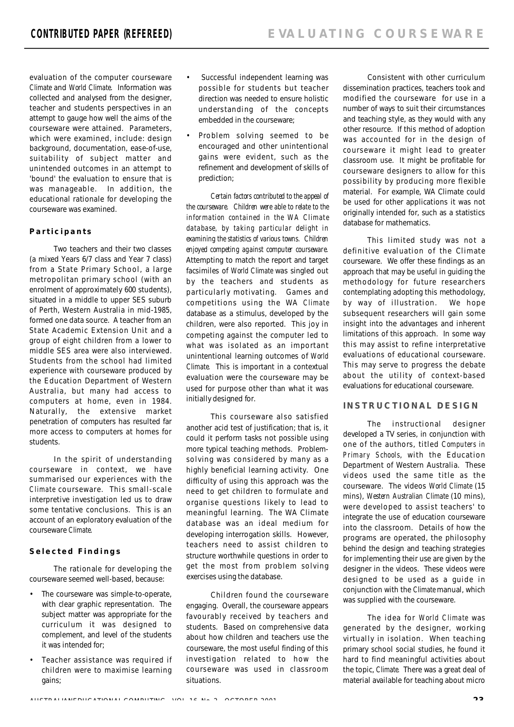evaluation of the computer courseware **Climate and World Climate. Information was** collected and analysed from the designer, teacher and students perspectives in an attempt to gauge how well the aims of the courseware were attained. Parameters, which were examined, include: design background, documentation, ease-of-use, suitability of subject matter and unintended outcomes in an attempt to 'bound' the evaluation to ensure that is was manageable. In addition, the educational rationale for developing the courseware was examined.

#### *P a r t i c i p a n t s*

Two teachers and their two classes (a mixed Years 6/7 class and Year 7 class) from a State Primary School, a large metropolitan primary school (with an enrolment of approximately 600 students), situated in a middle to upper SES suburb of Perth, Western Australia in mid-1985, formed one data source. A teacher from an State Academic Extension Unit and a group of eight children from a lower to middle SES area were also interviewed. Students from the school had limited experience with courseware produced by the Education Department of Western Australia, but many had access to computers at home, even in 1984. Naturally, the extensive market penetration of computers has resulted far more access to computers at homes for students.

In the spirit of understanding courseware in context, we have summarised our experiences with the Climate courseware. This small-scale interpretive investigation led us to draw some tentative conclusions. This is an account of an exploratory evaluation of the courseware Climate.

#### *S e l e c t e d F i n d i n g s*

The rationale for developing the courseware seemed well-based, because:

- The courseware was simple-to-operate, with clear graphic representation. The subject matter was appropriate for the curriculum it was designed to complement, and level of the students it was intended for;
- Teacher assistance was required if children were to maximise learning gains;
- Successful independent learning was possible for students but teacher direction was needed to ensure holistic understanding of the concepts embedded in the courseware;
- Problem solving seemed to be encouraged and other unintentional gains were evident, such as the refinement and development of skills of prediction:

*Certain factors contributed to the appeal of the courseware. Children were able to relate to the information contained in the WA Climate database, by taking particular delight in*  $e$ xamining the statistics of various towns. Children *enjoyed competing against computer courseware.* Attempting to match the report and target facsimiles of *World Climate* was singled out by the teachers and students as particularly motivating. Games and competitions using the WA Climate database as a stimulus, developed by the children, were also reported. This joy in competing against the computer led to what was isolated as an important unintentional learning outcomes of World Climate. This is important in a contextual evaluation were the courseware may be used for purpose other than what it was initially designed for.

This courseware also satisfied another acid test of justification; that is, it could it perform tasks not possible using more typical teaching methods. Problemsolving was considered by many as a highly beneficial learning activity. One difficulty of using this approach was the need to get children to formulate and organise questions likely to lead to meaningful learning. The WA Climate database was an ideal medium for developing interrogation skills. However, teachers need to assist children to structure worthwhile questions in order to get the most from problem solving exercises using the database.

Children found the courseware engaging. Overall, the courseware appears favourably received by teachers and students. Based on comprehensive data about how children and teachers use the courseware, the most useful finding of this investigation related to how the courseware was used in classroom situations.

Consistent with other curriculum dissemination practices, teachers took and modified the courseware for use in a number of ways to suit their circumstances and teaching style, as they would with any other resource. If this method of adoption was accounted for in the design of courseware it might lead to greater classroom use. It might be profitable for courseware designers to allow for this possibility by producing more flexible material. For example, WA Climate could be used for other applications it was not originally intended for, such as a statistics database for mathematics.

This limited study was not a definitive evaluation of the Climate courseware. We offer these findings as an approach that may be useful in guiding the methodology for future researchers contemplating adopting this methodology, by way of illustration. We hope subsequent researchers will gain some insight into the advantages and inherent limitations of this approach. In some way this may assist to refine interpretative evaluations of educational courseware. This may serve to progress the debate about the utility of context-based evaluations for educational courseware.

#### **INSTRUCTIONAL DESIGN**

The instructional designer developed a TV series, in conjunction with one of the authors, titled *Computers in Primary Schools*, with the Education Department of Western Australia. These videos used the same title as the courseware. The videos *World Climate* ( 1 5 mins), *Western Australian Climate* (10 mins), were developed to assist teachers' to integrate the use of education courseware into the classroom. Details of how the programs are operated, the philosophy behind the design and teaching strategies for implementing their use are given by the designer in the videos. These videos were designed to be used as a guide in conjunction with the Climate manual, which was supplied with the courseware.

The idea for World Climate was generated by the designer, working virtually in isolation. When teaching primary school social studies, he found it hard to find meaningful activities about the topic, Climate. There was a great deal of material available for teaching about micro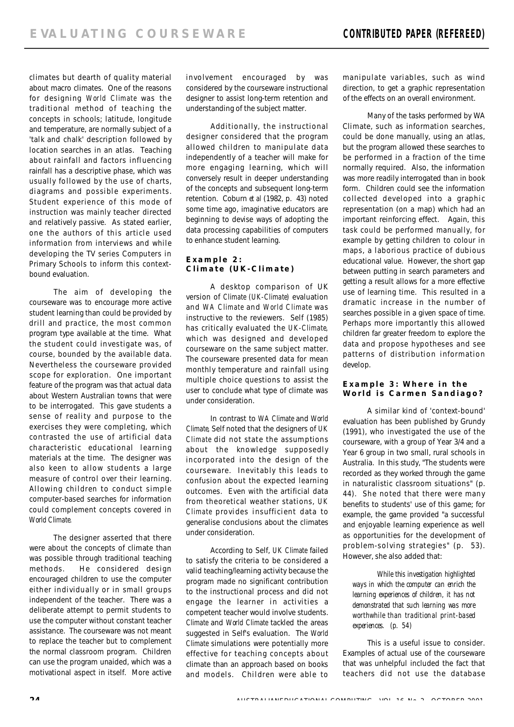climates but dearth of quality material about macro climates. One of the reasons for designing *World Climate* was the traditional method of teaching the concepts in schools; latitude, longitude and temperature, are normally subject of a 'talk and chalk' description followed by location searches in an atlas. Teaching about rainfall and factors influencing rainfall has a descriptive phase, which was usually followed by the use of charts, diagrams and possible experiments. Student experience of this mode of instruction was mainly teacher directed and relatively passive. As stated earlier, one the authors of this article used information from interviews and while developing the TV series Computers in Primary Schools to inform this contextbound evaluation.

The aim of developing the courseware was to encourage more active student learning than could be provided by drill and practice, the most common program type available at the time. What the student could investigate was, of course, bounded by the available data. Nevertheless the courseware provided scope for exploration. One important feature of the program was that actual data about Western Australian towns that were to be interrogated. This gave students a sense of reality and purpose to the exercises they were completing, which contrasted the use of artificial data characteristic educational learning materials at the time. The designer was also keen to allow students a large measure of control over their learning. Allowing children to conduct simple computer-based searches for information could complement concepts covered in *World Climate.*

The designer asserted that there were about the concepts of climate than was possible through traditional teaching methods. He considered design encouraged children to use the computer either individually or in small groups independent of the teacher. There was a deliberate attempt to permit students to use the computer without constant teacher assistance. The courseware was not meant to replace the teacher but to complement the normal classroom program. Children can use the program unaided, which was a motivational aspect in itself. More active

involvement encouraged by was considered by the courseware instructional designer to assist long-term retention and understanding of the subject matter.

Additionally, the instructional designer considered that the program allowed children to manipulate data independently of a teacher will make for more engaging learning, which will conversely result in deeper understanding of the concepts and subsequent long-term retention. Coburn *et al* (1982, p. 43) noted some time ago, imaginative educators are beginning to devise ways of adopting the data processing capabilities of computers to enhance student learning.

## *Example 2: Climate (UK-Climate)*

A desktop comparison of UK version of Climate (UK-Climate) evaluation and WA Climate and World Climate was instructive to the reviewers. Self (1985) has critically evaluated the UK-Climate, which was designed and developed courseware on the same subject matter. The courseware presented data for mean monthly temperature and rainfall using multiple choice questions to assist the user to conclude what type of climate was under consideration.

In contrast to WA Climate and World *Climate, Self noted that the designers of UK* **Climate did not state the assumptions** about the knowledge supposedly incorporated into the design of the courseware. Inevitably this leads to confusion about the expected learning outcomes. Even with the artificial data from theoretical weather stations, *U K* Climate provides insufficient data to generalise conclusions about the climates under consideration.

According to Self, UK Climate failed to satisfy the criteria to be considered a valid teaching/learning activity because the program made no significant contribution to the instructional process and did not engage the learner in activities a competent teacher would involve students. Climate and World Climate tackled the areas suggested in Self's evaluation. The World Climate simulations were potentially more effective for teaching concepts about climate than an approach based on books and models. Children were able to

manipulate variables, such as wind direction, to get a graphic representation of the effects on an overall environment.

Many of the tasks performed by WA Climate, such as information searches, could be done manually, using an atlas, but the program allowed these searches to be performed in a fraction of the time normally required. Also, the information was more readily interrogated than in book form. Children could see the information collected developed into a graphic representation (on a map) which had an important reinforcing effect. Again, this task could be performed manually, for example by getting children to colour in maps, a laborious practice of dubious educational value. However, the short gap between putting in search parameters and getting a result allows for a more effective use of learning time. This resulted in a dramatic increase in the number of searches possible in a given space of time. Perhaps more importantly this allowed children far greater freedom to explore the data and propose hypotheses and see patterns of distribution information develop.

#### *Example 3: Where in the W o r l d i s C a r m e n S a n d i a g o ?*

A similar kind of 'context-bound' evaluation has been published by Grundy (1991), who investigated the use of the courseware, with a group of Year 3/4 and a Year 6 group in two small, rural schools in Australia. In this study, "The students were recorded as they worked through the game in naturalistic classroom situations" (p. 44). She noted that there were many benefits to students' use of this game; for example, the game provided "a successful and enjoyable learning experience as well as opportunities for the development of problem-solving strategies" (p. 53). However, she also added that:

*While this investigation highlighted ways in which the computer can enrich the learning experiences of children, it has not demonstrated that such learning was more worthwhile than traditional print-based experiences. (p. 54)*

This is a useful issue to consider. Examples of actual use of the courseware that was unhelpful included the fact that teachers did not use the database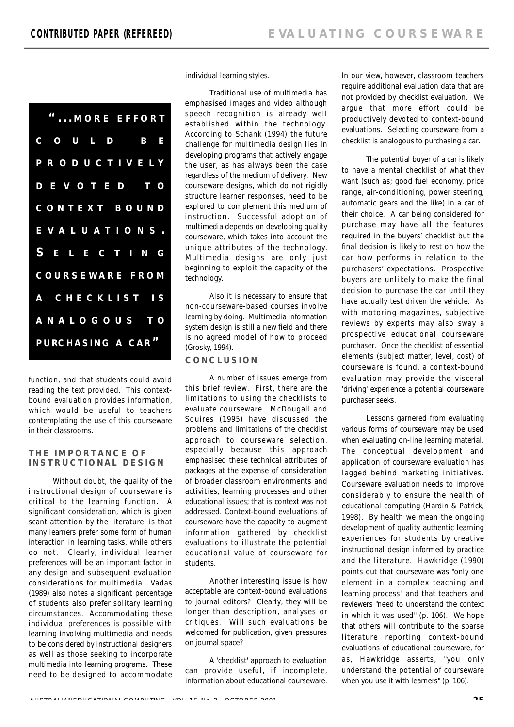| "MORE EFFORT           |
|------------------------|
| COULD BE               |
| PRODUCTIVELY           |
| D E V O T E D _ T O    |
| CONTEXT BOUND          |
| EVALUATIONS.           |
| S E L E C T I N G      |
| <b>COURSEWARE FROM</b> |
| A CHECKLIST IS         |
| ANALOGOUS TO           |
| PURCHASING A CAR"      |

function, and that students could avoid reading the text provided. This contextbound evaluation provides information, which would be useful to teachers contemplating the use of this courseware in their classrooms.

#### **THE IMPORTANCE OF INSTRUCTIONAL DESIGN**

Without doubt, the quality of the instructional design of courseware is critical to the learning function. A significant consideration, which is given scant attention by the literature, is that many learners prefer some form of human interaction in learning tasks, while others do not. Clearly, individual learner preferences will be an important factor in any design and subsequent evaluation considerations for multimedia. Vadas (1989) also notes a significant percentage of students also prefer solitary learning circumstances. Accommodating these individual preferences is possible with learning involving multimedia and needs to be considered by instructional designers as well as those seeking to incorporate multimedia into learning programs. These need to be designed to accommodate individual learning styles.

Traditional use of multimedia has emphasised images and video although speech recognition is already well established within the technology. According to Schank (1994) the future challenge for multimedia design lies in developing programs that actively engage the user, as has always been the case regardless of the medium of delivery. New courseware designs, which do not rigidly structure learner responses, need to be explored to complement this medium of instruction. Successful adoption of multimedia depends on developing quality courseware, which takes into account the unique attributes of the technology. Multimedia designs are only just beginning to exploit the capacity of the technology.

Also it is necessary to ensure that non-courseware-based courses involve learning by doing. Multimedia information system design is still a new field and there is no agreed model of how to proceed (Grosky, 1994).

#### **C O N C L U S I O N**

A number of issues emerge from this brief review. First, there are the limitations to using the checklists to evaluate courseware. McDougall and Squires (1995) have discussed the problems and limitations of the checklist approach to courseware selection, especially because this approach emphasised these technical attributes of packages at the expense of consideration of broader classroom environments and activities, learning processes and other educational issues; that is context was not addressed. Context-bound evaluations of courseware have the capacity to augment information gathered by checklist evaluations to illustrate the potential educational value of courseware for students.

Another interesting issue is how acceptable are context-bound evaluations to journal editors? Clearly, they will be longer than description, analyses or critiques. Will such evaluations be welcomed for publication, given pressures on journal space?

A 'checklist' approach to evaluation can provide useful, if incomplete, information about educational courseware.

In our view, however, classroom teachers require additional evaluation data that are not provided by checklist evaluation. We argue that more effort could be productively devoted to context-bound evaluations. Selecting courseware from a checklist is analogous to purchasing a car.

The potential buyer of a car is likely to have a mental checklist of what they want (such as; good fuel economy, price range, air-conditioning, power steering, automatic gears and the like) in a car of their choice. A car being considered for purchase may have all the features required in the buyers' checklist but the final decision is likely to rest on how the car how performs in relation to the purchasers' expectations. Prospective buyers are unlikely to make the final decision to purchase the car until they have actually test driven the vehicle. As with motoring magazines, subjective reviews by experts may also sway a prospective educational courseware purchaser. Once the checklist of essential elements (subject matter, level, cost) of courseware is found, a context-bound evaluation may provide the visceral 'driving' experience a potential courseware purchaser seeks.

Lessons garnered from evaluating various forms of courseware may be used when evaluating on-line learning material. The conceptual development and application of courseware evaluation has lagged behind marketing initiatives. Courseware evaluation needs to improve considerably to ensure the health of educational computing (Hardin & Patrick, 1998). By health we mean the ongoing development of quality authentic learning experiences for students by creative instructional design informed by practice and the literature. Hawkridge (1990) points out that courseware was "only one element in a complex teaching and learning process" and that teachers and reviewers "need to understand the context in which it was used" (p. 106). We hope that others will contribute to the sparse literature reporting context-bound evaluations of educational courseware, for as, Hawkridge asserts, "you only understand the potential of courseware when you use it with learners" (p. 106).